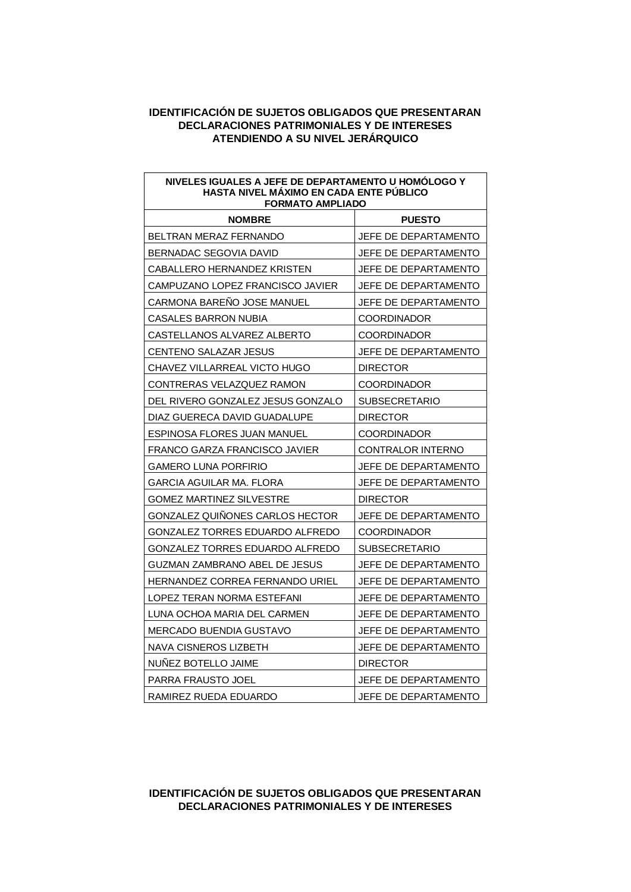| NIVELES IGUALES A JEFE DE DEPARTAMENTO U HOMOLOGO Y<br><b>HASTA NIVEL MAXIMO EN CADA ENTE PUBLICO</b><br><b>FORMATO AMPLIADO</b> |                          |
|----------------------------------------------------------------------------------------------------------------------------------|--------------------------|
| <b>NOMBRE</b>                                                                                                                    | <b>PUESTO</b>            |
| BELTRAN MERAZ FERNANDO                                                                                                           | JEFE DE DEPARTAMENTO     |
| BERNADAC SEGOVIA DAVID                                                                                                           | JEFE DE DEPARTAMENTO     |
| CABALLERO HERNANDEZ KRISTEN                                                                                                      | JEFE DE DEPARTAMENTO     |
| CAMPUZANO LOPEZ FRANCISCO JAVIER                                                                                                 | JEFE DE DEPARTAMENTO     |
| CARMONA BARENO JOSE MANUEL                                                                                                       | JEFE DE DEPARTAMENTO     |
| CASALES BARRON NUBIA                                                                                                             | <b>COORDINADOR</b>       |
| CASTELLANOS ALVAREZ ALBERTO                                                                                                      | <b>COORDINADOR</b>       |
| CENTENO SALAZAR JESUS                                                                                                            | JEFE DE DEPARTAMENTO     |
| CHAVEZ VILLARREAL VICTO HUGO                                                                                                     | <b>DIRECTOR</b>          |
| CONTRERAS VELAZQUEZ RAMON                                                                                                        | <b>COORDINADOR</b>       |
| DEL RIVERO GONZALEZ JESUS GONZALO                                                                                                | <b>SUBSECRETARIO</b>     |
| DIAZ GUERECA DAVID GUADALUPE                                                                                                     | <b>DIRECTOR</b>          |
| ESPINOSA FLORES JUAN MANUEL                                                                                                      | <b>COORDINADOR</b>       |
| FRANCO GARZA FRANCISCO JAVIER                                                                                                    | <b>CONTRALOR INTERNO</b> |
| <b>GAMERO LUNA PORFIRIO</b>                                                                                                      | JEFE DE DEPARTAMENTO     |
| GARCIA AGUILAR MA. FLORA                                                                                                         | JEFE DE DEPARTAMENTO     |
| GOMEZ MARTINEZ SILVESTRE                                                                                                         | <b>DIRECTOR</b>          |
| GONZALEZ QUINONES CARLOS HECTOR                                                                                                  | JEFE DE DEPARTAMENTO     |
| GONZALEZ TORRES EDUARDO ALFREDO                                                                                                  | <b>COORDINADOR</b>       |
| GONZALEZ TORRES EDUARDO ALFREDO                                                                                                  | <b>SUBSECRETARIO</b>     |
| GUZMAN ZAMBRANO ABEL DE JESUS                                                                                                    | JEFE DE DEPARTAMENTO     |
| HERNANDEZ CORREA FERNANDO URIEL                                                                                                  | JEFE DE DEPARTAMENTO     |
| LOPEZ TERAN NORMA ESTEFANI                                                                                                       | JEFE DE DEPARTAMENTO     |
| LUNA OCHOA MARIA DEL CARMEN                                                                                                      | JEFE DE DEPARTAMENTO     |
| <b>MERCADO BUENDIA GUSTAVO</b>                                                                                                   | JEFE DE DEPARTAMENTO     |
| NAVA CISNEROS LIZBETH                                                                                                            | JEFE DE DEPARTAMENTO     |
| NUNEZ BOTELLO JAIME                                                                                                              | <b>DIRECTOR</b>          |
| PARRA FRAUSTO JOEL                                                                                                               | JEFE DE DEPARTAMENTO     |
| RAMIREZ RUEDA EDUARDO                                                                                                            | JEFE DE DEPARTAMENTO     |

#### **IDENTIFICACIÓN DE SUJETOS OBLIGADOS QUE PRESENTARAN DECLARACIONES PATRIMONIALES Y DE INTERESES**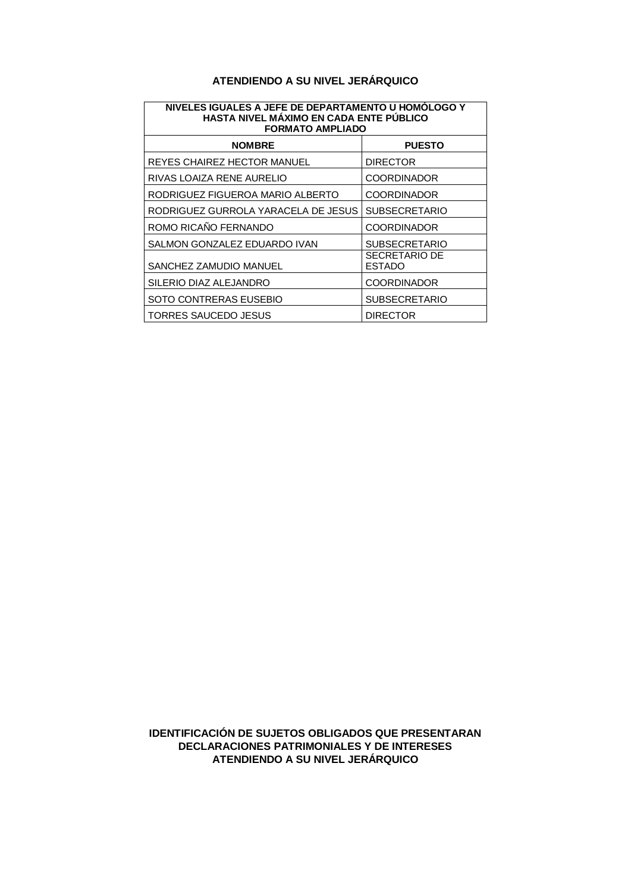#### **ATENDIENDO A SU NIVEL JERÁRQUICO**

| NIVELES IGUALES A JEFE DE DEPARTAMENTO U HOMOLOGO Y<br>HASTA NIVEL MÁXIMO EN CADA ENTE PÚBLICO<br><b>FORMATO AMPLIADO</b> |                                       |
|---------------------------------------------------------------------------------------------------------------------------|---------------------------------------|
| <b>NOMBRE</b>                                                                                                             | <b>PUESTO</b>                         |
| REYES CHAIREZ HECTOR MANUEL                                                                                               | <b>DIRECTOR</b>                       |
| RIVAS LOAIZA RENE AURELIO                                                                                                 | <b>COORDINADOR</b>                    |
| RODRIGUEZ FIGUEROA MARIO ALBERTO                                                                                          | <b>COORDINADOR</b>                    |
| RODRIGUEZ GURROLA YARACELA DE JESUS                                                                                       | <b>SUBSECRETARIO</b>                  |
| ROMO RICAÑO FERNANDO                                                                                                      | <b>COORDINADOR</b>                    |
| SALMON GONZALEZ EDUARDO IVAN                                                                                              | <b>SUBSECRETARIO</b>                  |
| SANCHEZ ZAMUDIO MANUEL                                                                                                    | <b>SECRETARIO DE</b><br><b>ESTADO</b> |
| SILERIO DIAZ ALEJANDRO                                                                                                    | <b>COORDINADOR</b>                    |
| SOTO CONTRERAS EUSEBIO                                                                                                    | <b>SUBSECRETARIO</b>                  |
| TORRES SAUCEDO JESUS                                                                                                      | <b>DIRECTOR</b>                       |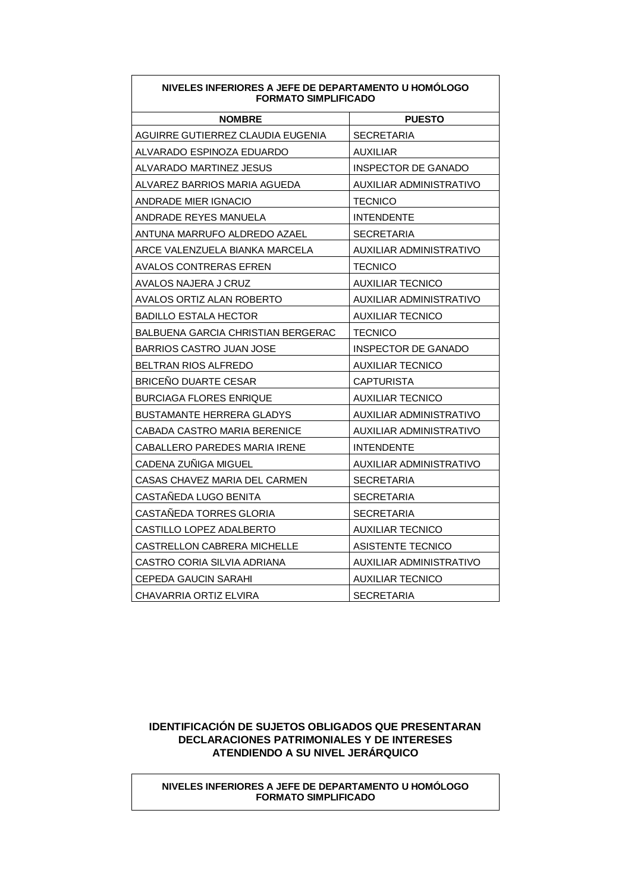|                                    | <b>FORMATO SIMPLIFICADO</b> |  |
|------------------------------------|-----------------------------|--|
| <b>NOMBRE</b>                      | <b>PUESTO</b>               |  |
| AGUIRRE GUTIERREZ CLAUDIA EUGENIA  | <b>SECRETARIA</b>           |  |
| ALVARADO ESPINOZA EDUARDO          | AUXILIAR                    |  |
| ALVARADO MARTINEZ JESUS            | INSPECTOR DE GANADO         |  |
| ALVAREZ BARRIOS MARIA AGUEDA       | AUXILIAR ADMINISTRATIVO     |  |
| ANDRADE MIER IGNACIO               | TECNICO                     |  |
| ANDRADE REYES MANUELA              | <b>INTENDENTE</b>           |  |
| ANTUNA MARRUFO ALDREDO AZAEL       | <b>SECRETARIA</b>           |  |
| ARCE VALENZUELA BIANKA MARCELA     | AUXILIAR ADMINISTRATIVO     |  |
| AVALOS CONTRERAS EFREN             | TECNICO                     |  |
| AVALOS NAJERA J CRUZ               | <b>AUXILIAR TECNICO</b>     |  |
| AVALOS ORTIZ ALAN ROBERTO          | AUXILIAR ADMINISTRATIVO     |  |
| <b>BADILLO ESTALA HECTOR</b>       | AUXILIAR TECNICO            |  |
| BALBUENA GARCIA CHRISTIAN BERGERAC | <b>TECNICO</b>              |  |
| BARRIOS CASTRO JUAN JOSE           | INSPECTOR DE GANADO         |  |
| BELTRAN RIOS ALFREDO               | AUXILIAR TECNICO            |  |
| BRICENO DUARTE CESAR               | CAPTURISTA                  |  |
| BURCIAGA FLORES ENRIQUE            | AUXILIAR TECNICO            |  |
| BUSTAMANTE HERRERA GLADYS          | AUXILIAR ADMINISTRATIVO     |  |
| CABADA CASTRO MARIA BERENICE       | AUXILIAR ADMINISTRATIVO     |  |
| CABALLERO PAREDES MARIA IRENE      | <b>INTENDENTE</b>           |  |
| CADENA ZUÑIGA MIGUEL               | AUXILIAR ADMINISTRATIVO     |  |
| CASAS CHAVEZ MARIA DEL CARMEN      | SECRETARIA                  |  |
| CASTANEDA LUGO BENITA              | SECRETARIA                  |  |
| CASTANEDA TORRES GLORIA            | SECRETARIA                  |  |
| CASTILLO LOPEZ ADALBERTO           | AUXILIAR TECNICO            |  |
| CASTRELLON CABRERA MICHELLE        | ASISTENTE TECNICO           |  |
| CASTRO CORIA SILVIA ADRIANA        | AUXILIAR ADMINISTRATIVO     |  |
| CEPEDA GAUCIN SARAHI               | <b>AUXILIAR TECNICO</b>     |  |
| CHAVARRIA ORTIZ ELVIRA             | <b>SECRETARIA</b>           |  |

# **NIVELES INFERIORES A JEFE DE DEPARTAMENTO U HOMÓLOGO**

#### **IDENTIFICACIÓN DE SUJETOS OBLIGADOS QUE PRESENTARAN DECLARACIONES PATRIMONIALES Y DE INTERESES ATENDIENDO A SU NIVEL JERÁRQUICO**

**NIVELES INFERIORES A JEFE DE DEPARTAMENTO U HOMÓLOGO FORMATO SIMPLIFICADO**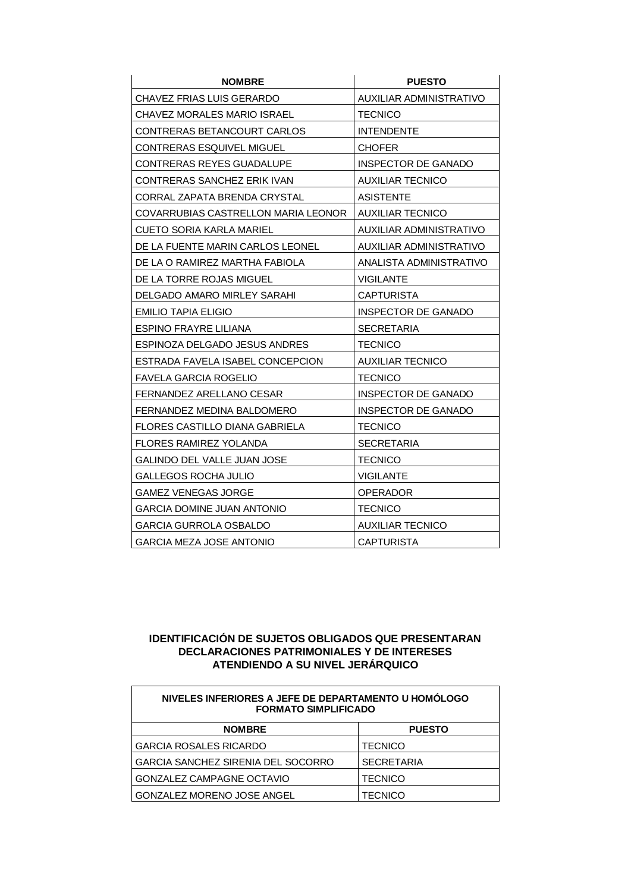| <b>NOMBRE</b>                       | <b>PUESTO</b>              |  |
|-------------------------------------|----------------------------|--|
| <b>CHAVEZ FRIAS LUIS GERARDO</b>    | AUXILIAR ADMINISTRATIVO    |  |
| CHAVEZ MORALES MARIO ISRAEL         | <b>TECNICO</b>             |  |
| CONTRERAS BETANCOURT CARLOS         | <b>INTENDENTE</b>          |  |
| CONTRERAS ESQUIVEL MIGUEL           | <b>CHOFER</b>              |  |
| CONTRERAS REYES GUADALUPE           | INSPECTOR DE GANADO        |  |
| CONTRERAS SANCHEZ ERIK IVAN         | <b>AUXILIAR TECNICO</b>    |  |
| CORRAL ZAPATA BRENDA CRYSTAL        | ASISTENTE                  |  |
| COVARRUBIAS CASTRELLON MARIA LEONOR | AUXILIAR TECNICO           |  |
| CUETO SORIA KARLA MARIEL            | AUXILIAR ADMINISTRATIVO    |  |
| DE LA FUENTE MARIN CARLOS LEONEL    | AUXILIAR ADMINISTRATIVO    |  |
| DE LA O RAMIREZ MARTHA FABIOLA      | ANALISTA ADMINISTRATIVO    |  |
| DE LA TORRE ROJAS MIGUEL            | <b>VIGILANTE</b>           |  |
| <b>DELGADO AMARO MIRLEY SARAHI</b>  | <b>CAPTURISTA</b>          |  |
| EMILIO TAPIA ELIGIO                 | INSPECTOR DE GANADO        |  |
| <b>ESPINO FRAYRE LILIANA</b>        | <b>SECRETARIA</b>          |  |
| ESPINOZA DELGADO JESUS ANDRES       | TECNICO                    |  |
| ESTRADA FAVELA ISABEL CONCEPCION    | AUXILIAR TECNICO           |  |
| <b>FAVELA GARCIA ROGELIO</b>        | <b>TECNICO</b>             |  |
| FERNANDEZ ARELLANO CESAR            | INSPECTOR DE GANADO        |  |
| FERNANDEZ MEDINA BALDOMERO          | <b>INSPECTOR DE GANADO</b> |  |
| FLORES CASTILLO DIANA GABRIELA      | <b>TECNICO</b>             |  |
| FLORES RAMIREZ YOLANDA              | <b>SECRETARIA</b>          |  |
| <b>GALINDO DEL VALLE JUAN JOSE</b>  | <b>TECNICO</b>             |  |
| GALLEGOS ROCHA JULIO                | VIGILANTE                  |  |
| <b>GAMEZ VENEGAS JORGE</b>          | <b>OPERADOR</b>            |  |
| GARCIA DOMINE JUAN ANTONIO          | <b>TECNICO</b>             |  |
| GARCIA GURROLA OSBALDO              | AUXILIAR TECNICO           |  |
| <b>GARCIA MEZA JOSE ANTONIO</b>     | CAPTURISTA                 |  |

| NIVELES INFERIORES A JEFE DE DEPARTAMENTO U HOMÓLOGO<br><b>FORMATO SIMPLIFICADO</b> |                   |
|-------------------------------------------------------------------------------------|-------------------|
| <b>NOMBRE</b>                                                                       | <b>PUESTO</b>     |
| <b>GARCIA ROSALES RICARDO</b>                                                       | <b>TECNICO</b>    |
| GARCIA SANCHEZ SIRENIA DEL SOCORRO                                                  | <b>SECRETARIA</b> |
| <b>GONZALEZ CAMPAGNE OCTAVIO</b>                                                    | <b>TECNICO</b>    |
| <b>GONZALEZ MORENO JOSE ANGEL</b>                                                   | <b>TECNICO</b>    |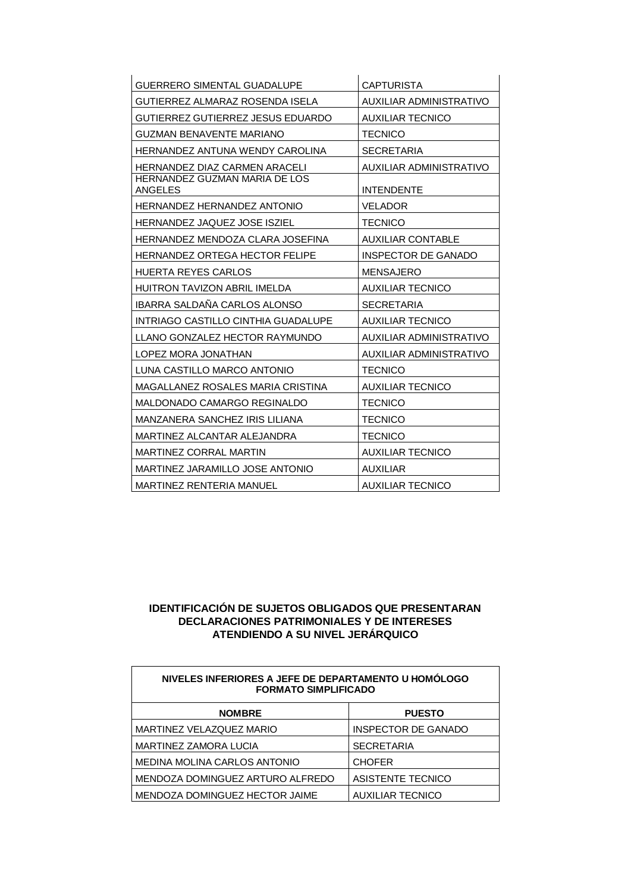| <b>GUERRERO SIMENTAL GUADALUPE</b>                       | <b>CAPTURISTA</b>              |  |
|----------------------------------------------------------|--------------------------------|--|
| GUTIERREZ ALMARAZ ROSENDA ISELA                          | <b>AUXILIAR ADMINISTRATIVO</b> |  |
| GUTIERREZ GUTIERREZ JESUS EDUARDO                        | <b>AUXILIAR TECNICO</b>        |  |
| <b>GUZMAN BENAVENTE MARIANO</b>                          | <b>TECNICO</b>                 |  |
| HERNANDEZ ANTUNA WENDY CAROLINA                          | <b>SECRETARIA</b>              |  |
| HERNANDEZ DIAZ CARMEN ARACELI                            | AUXILIAR ADMINISTRATIVO        |  |
| HERNANDEZ GUZMAN MARIA DE LOS<br><b>ANGELES</b>          | <b>INTENDENTE</b>              |  |
| HERNANDEZ HERNANDEZ ANTONIO                              | <b>VELADOR</b>                 |  |
| <b>HERNANDEZ JAQUEZ JOSE ISZIEL</b>                      | <b>TECNICO</b>                 |  |
| HERNANDEZ MENDOZA CLARA JOSEFINA                         | <b>AUXILIAR CONTABLE</b>       |  |
| HERNANDEZ ORTEGA HECTOR FELIPE                           | <b>INSPECTOR DE GANADO</b>     |  |
| <b>HUERTA REYES CARLOS</b>                               | <b>MENSAJERO</b>               |  |
| HUITRON TAVIZON ABRIL IMELDA                             | <b>AUXILIAR TECNICO</b>        |  |
| IBARRA SALDAÑA CARLOS ALONSO                             | <b>SECRETARIA</b>              |  |
| INTRIAGO CASTILLO CINTHIA GUADALUPE                      | <b>AUXILIAR TECNICO</b>        |  |
| LLANO GONZALEZ HECTOR RAYMUNDO                           | AUXILIAR ADMINISTRATIVO        |  |
| LOPEZ MORA JONATHAN                                      | AUXILIAR ADMINISTRATIVO        |  |
| LUNA CASTILLO MARCO ANTONIO                              | <b>TECNICO</b>                 |  |
| MAGALLANEZ ROSALES MARIA CRISTINA                        | <b>AUXILIAR TECNICO</b>        |  |
| MALDONADO CAMARGO REGINALDO                              | <b>TECNICO</b>                 |  |
| MANZANERA SANCHEZ IRIS LILIANA                           | <b>TECNICO</b>                 |  |
| MARTINEZ ALCANTAR ALEJANDRA                              | <b>TECNICO</b>                 |  |
| <b>MARTINEZ CORRAL MARTIN</b><br><b>AUXILIAR TECNICO</b> |                                |  |
| MARTINEZ JARAMILLO JOSE ANTONIO                          | <b>AUXILIAR</b>                |  |
| <b>MARTINEZ RENTERIA MANUEL</b>                          | AUXILIAR TECNICO               |  |

| NIVELES INFERIORES A JEFE DE DEPARTAMENTO U HOMÓLOGO<br><b>FORMATO SIMPLIFICADO</b> |                            |
|-------------------------------------------------------------------------------------|----------------------------|
| <b>NOMBRE</b>                                                                       | <b>PUESTO</b>              |
| MARTINEZ VELAZQUEZ MARIO                                                            | <b>INSPECTOR DE GANADO</b> |
| MARTINEZ ZAMORA LUCIA                                                               | <b>SECRETARIA</b>          |
| MEDINA MOLINA CARLOS ANTONIO                                                        | <b>CHOFER</b>              |
| MENDOZA DOMINGUEZ ARTURO ALFREDO                                                    | <b>ASISTENTE TECNICO</b>   |
| MENDOZA DOMINGUEZ HECTOR JAIME                                                      | <b>AUXILIAR TECNICO</b>    |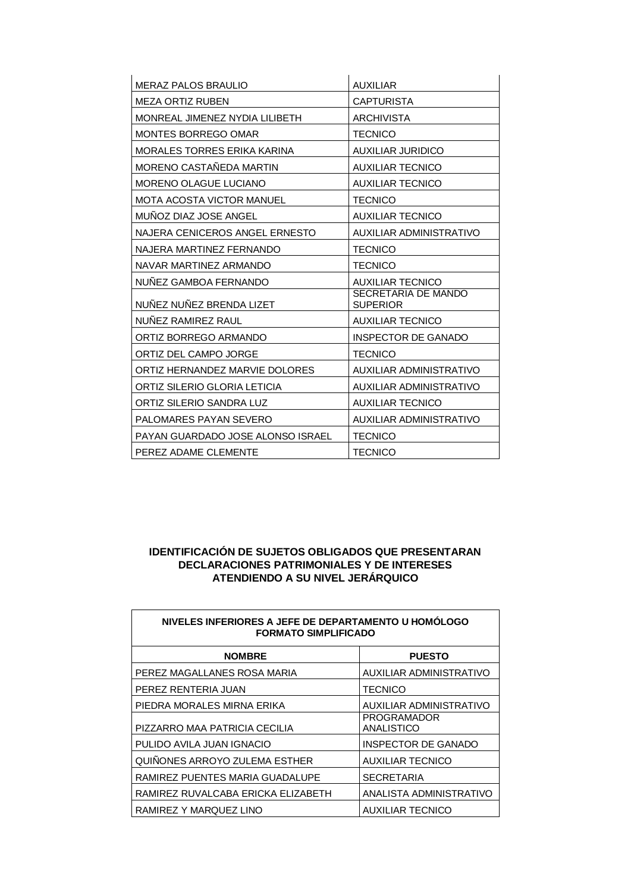| <b>MERAZ PALOS BRAULIO</b>        | <b>AUXILIAR</b>                        |
|-----------------------------------|----------------------------------------|
| <b>MEZA ORTIZ RUBEN</b>           | <b>CAPTURISTA</b>                      |
| MONREAL JIMENEZ NYDIA LILIBETH    | <b>ARCHIVISTA</b>                      |
| <b>MONTES BORREGO OMAR</b>        | <b>TECNICO</b>                         |
| MORALES TORRES ERIKA KARINA       | <b>AUXILIAR JURIDICO</b>               |
| MORENO CASTAÑEDA MARTIN           | <b>AUXILIAR TECNICO</b>                |
| <b>MORENO OLAGUE LUCIANO</b>      | <b>AUXILIAR TECNICO</b>                |
| MOTA ACOSTA VICTOR MANUEL         | <b>TECNICO</b>                         |
| MUÑOZ DIAZ JOSE ANGEL             | <b>AUXILIAR TECNICO</b>                |
| NAJERA CENICEROS ANGEL ERNESTO    | AUXILIAR ADMINISTRATIVO                |
| NAJERA MARTINEZ FERNANDO          | <b>TECNICO</b>                         |
| NAVAR MARTINEZ ARMANDO            | <b>TECNICO</b>                         |
| NUÑEZ GAMBOA FERNANDO             | <b>AUXILIAR TECNICO</b>                |
| NUÑEZ NUÑEZ BRENDA LIZET          | SECRETARIA DE MANDO<br><b>SUPERIOR</b> |
| NUÑEZ RAMIREZ RAUL                | <b>AUXILIAR TECNICO</b>                |
| ORTIZ BORREGO ARMANDO             | INSPECTOR DE GANADO                    |
| ORTIZ DEL CAMPO JORGE             | <b>TECNICO</b>                         |
| ORTIZ HERNANDEZ MARVIE DOLORES    | <b>AUXILIAR ADMINISTRATIVO</b>         |
| ORTIZ SILERIO GLORIA LETICIA      | AUXILIAR ADMINISTRATIVO                |
| ORTIZ SILERIO SANDRA LUZ          | <b>AUXILIAR TECNICO</b>                |
| PALOMARES PAYAN SEVERO            | AUXILIAR ADMINISTRATIVO                |
| PAYAN GUARDADO JOSE ALONSO ISRAEL | <b>TECNICO</b>                         |
| PEREZ ADAME CLEMENTE              | <b>TECNICO</b>                         |

| NIVELES INFERIORES A JEFE DE DEPARTAMENTO U HOMÓLOGO<br><b>FORMATO SIMPLIFICADO</b> |                            |
|-------------------------------------------------------------------------------------|----------------------------|
| <b>NOMBRE</b>                                                                       | <b>PUESTO</b>              |
| PEREZ MAGALLANES ROSA MARIA                                                         | AUXILIAR ADMINISTRATIVO    |
| PEREZ RENTERIA JUAN                                                                 | <b>TECNICO</b>             |
| PIEDRA MORALES MIRNA ERIKA                                                          | AUXILIAR ADMINISTRATIVO    |
| PIZZARRO MAA PATRICIA CECILIA                                                       | PROGRAMADOR<br>ANALISTICO  |
| PULIDO AVILA JUAN IGNACIO                                                           | <b>INSPECTOR DE GANADO</b> |
| QUIÑONES ARROYO ZULEMA ESTHER                                                       | <b>AUXILIAR TECNICO</b>    |
| RAMIREZ PUENTES MARIA GUADALUPE                                                     | <b>SECRETARIA</b>          |
| RAMIREZ RUVALCABA ERICKA ELIZABETH                                                  | ANALISTA ADMINISTRATIVO    |
| RAMIREZ Y MARQUEZ LINO                                                              | <b>AUXILIAR TECNICO</b>    |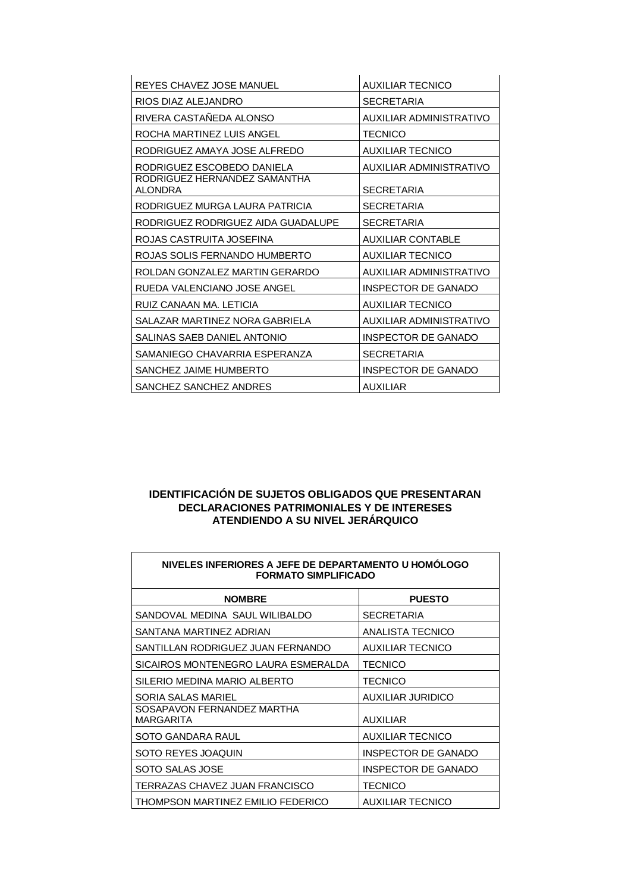| REYES CHAVEZ JOSE MANUEL                       | <b>AUXILIAR TECNICO</b>    |
|------------------------------------------------|----------------------------|
| RIOS DIAZ ALEJANDRO                            | <b>SECRETARIA</b>          |
| RIVERA CASTAÑEDA ALONSO                        | AUXILIAR ADMINISTRATIVO    |
| ROCHA MARTINEZ LUIS ANGEL                      | <b>TECNICO</b>             |
| RODRIGUEZ AMAYA JOSE ALFREDO                   | <b>AUXILIAR TECNICO</b>    |
| RODRIGUEZ ESCOBEDO DANIELA                     | AUXILIAR ADMINISTRATIVO    |
| RODRIGUEZ HERNANDEZ SAMANTHA<br><b>ALONDRA</b> | <b>SECRETARIA</b>          |
| RODRIGUEZ MURGA LAURA PATRICIA                 | <b>SECRETARIA</b>          |
| RODRIGUEZ RODRIGUEZ AIDA GUADALUPE             | <b>SECRETARIA</b>          |
| ROJAS CASTRUITA JOSEFINA                       | <b>AUXILIAR CONTABLE</b>   |
| ROJAS SOLIS FERNANDO HUMBERTO                  | <b>AUXILIAR TECNICO</b>    |
| ROLDAN GONZALEZ MARTIN GERARDO                 | AUXILIAR ADMINISTRATIVO    |
| RUEDA VALENCIANO JOSE ANGEL                    | INSPECTOR DE GANADO        |
| RUIZ CANAAN MA. LETICIA                        | <b>AUXILIAR TECNICO</b>    |
| SALAZAR MARTINEZ NORA GABRIELA                 | AUXILIAR ADMINISTRATIVO    |
| SALINAS SAEB DANIEL ANTONIO                    | <b>INSPECTOR DE GANADO</b> |
| SAMANIEGO CHAVARRIA ESPERANZA                  | <b>SECRETARIA</b>          |
| SANCHEZ JAIME HUMBERTO                         | <b>INSPECTOR DE GANADO</b> |
| SANCHEZ SANCHEZ ANDRES                         | <b>AUXILIAR</b>            |

| NIVELES INFERIORES A JEFE DE DEPARTAMENTO U HOMÓLOGO<br><b>FORMATO SIMPLIFICADO</b> |                          |
|-------------------------------------------------------------------------------------|--------------------------|
| <b>NOMBRE</b>                                                                       | <b>PUESTO</b>            |
| SANDOVAL MEDINA SAUL WILIBALDO                                                      | <b>SECRETARIA</b>        |
| SANTANA MARTINEZ ADRIAN                                                             | ANALISTA TECNICO         |
| SANTILLAN RODRIGUEZ JUAN FERNANDO                                                   | <b>AUXILIAR TECNICO</b>  |
| SICAIROS MONTENEGRO LAURA ESMERALDA                                                 | <b>TECNICO</b>           |
| SILERIO MEDINA MARIO ALBERTO                                                        | <b>TECNICO</b>           |
| SORIA SALAS MARIEL                                                                  | <b>AUXILIAR JURIDICO</b> |
| SOSAPAVON FERNANDEZ MARTHA<br><b>MARGARITA</b>                                      | <b>AUXILIAR</b>          |
| SOTO GANDARA RAUL                                                                   | <b>AUXILIAR TECNICO</b>  |
| SOTO REYES JOAQUIN                                                                  | INSPECTOR DE GANADO      |
| SOTO SALAS JOSE                                                                     | INSPECTOR DE GANADO      |
| TERRAZAS CHAVEZ JUAN FRANCISCO                                                      | <b>TECNICO</b>           |
| THOMPSON MARTINEZ EMILIO FEDERICO                                                   | <b>AUXILIAR TECNICO</b>  |